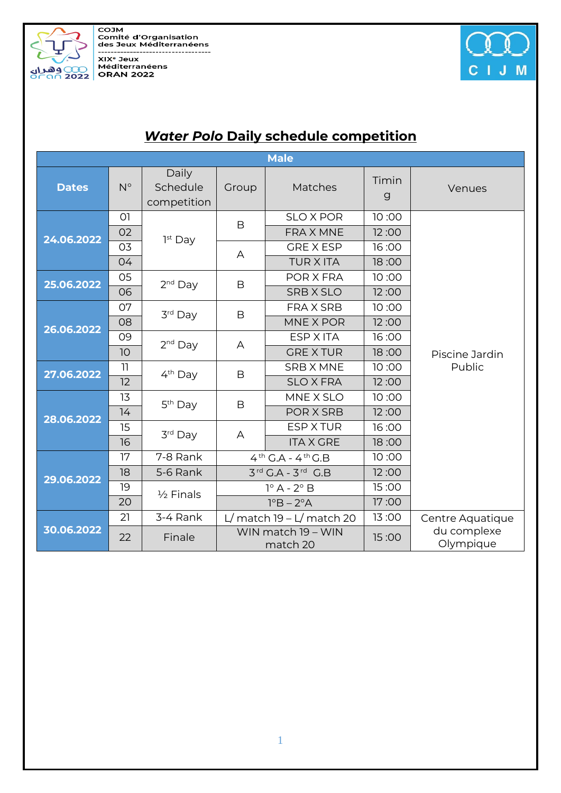COJM<br>Comité d'Organisation<br>des Jeux Méditerranéens --------------------------------------------------------<br>XIX° Jeux<br>Méditerranéens MA Sea



| <b>Male</b>  |                |                                  |                                           |                  |                       |                          |  |
|--------------|----------------|----------------------------------|-------------------------------------------|------------------|-----------------------|--------------------------|--|
| <b>Dates</b> | $N^{\circ}$    | Daily<br>Schedule<br>competition | Group                                     | Matches          | Timin<br>$\mathsf{g}$ | Venues                   |  |
| 24.06.2022   | O <sub>1</sub> | 1 <sup>st</sup> Day              | B                                         | <b>SLO X POR</b> | 10:00                 | Piscine Jardin<br>Public |  |
|              | 02             |                                  |                                           | <b>FRAX MNE</b>  | 12:00                 |                          |  |
|              | 03             |                                  | A                                         | <b>GRE X ESP</b> | 16:00                 |                          |  |
|              | 04             |                                  |                                           | <b>TUR X ITA</b> | 18:00                 |                          |  |
| 25.06.2022   | 05             | $2nd$ Day                        | B                                         | POR X FRA        | 10:00                 |                          |  |
|              | 06             |                                  |                                           | <b>SRB X SLO</b> | 12:00                 |                          |  |
| 26.06.2022   | 07             | 3rd Day                          | B                                         | <b>FRAX SRB</b>  | 10:00                 |                          |  |
|              | 08             |                                  |                                           | MNE X POR        | 12:00                 |                          |  |
|              | 09             | $2nd$ Day                        | A                                         | <b>ESP X ITA</b> | 16:00                 |                          |  |
|              | 10             |                                  |                                           | <b>GREXTUR</b>   | 18:00                 |                          |  |
| 27.06.2022   | 11             | 4 <sup>th</sup> Day              | B                                         | <b>SRB X MNE</b> | 10:00                 |                          |  |
|              | 12             |                                  |                                           | <b>SLO X FRA</b> | 12:00                 |                          |  |
| 28.06.2022   | 13             | 5 <sup>th</sup> Day              | B                                         | MNE X SLO        | 10:00                 |                          |  |
|              | 14             |                                  |                                           | POR X SRB        | 12:00                 |                          |  |
|              | 15             | 3rd Day                          | A                                         | <b>ESP X TUR</b> | 16:00                 |                          |  |
|              | 16             |                                  |                                           | <b>ITA X GRE</b> | 18:00                 |                          |  |
| 29.06.2022   | 17             | 7-8 Rank                         | $4^{th}$ G.A - $4^{th}$ G.B               |                  | 10:00                 |                          |  |
|              | 18             | 5-6 Rank                         | $3rd$ G.A - $3rd$ G.B                     |                  | 12:00                 |                          |  |
|              | 19             | 1/2 Finals                       | $1^\circ$ A - $2^\circ$ B                 |                  | 15:00                 |                          |  |
|              | 20             |                                  | $1^{\circ}B - 2^{\circ}A$                 |                  | 17:00                 |                          |  |
| 30.06.2022   | 21             | 3-4 Rank                         | match $19 - L/m$ atch 20<br>$\frac{1}{2}$ |                  | 13:00                 | Centre Aquatique         |  |
|              | 22             | Finale                           | WIN match 19 - WIN<br>match 20            |                  | 15:00                 | du complexe<br>Olympique |  |

## *Water Polo* **Daily schedule competition**